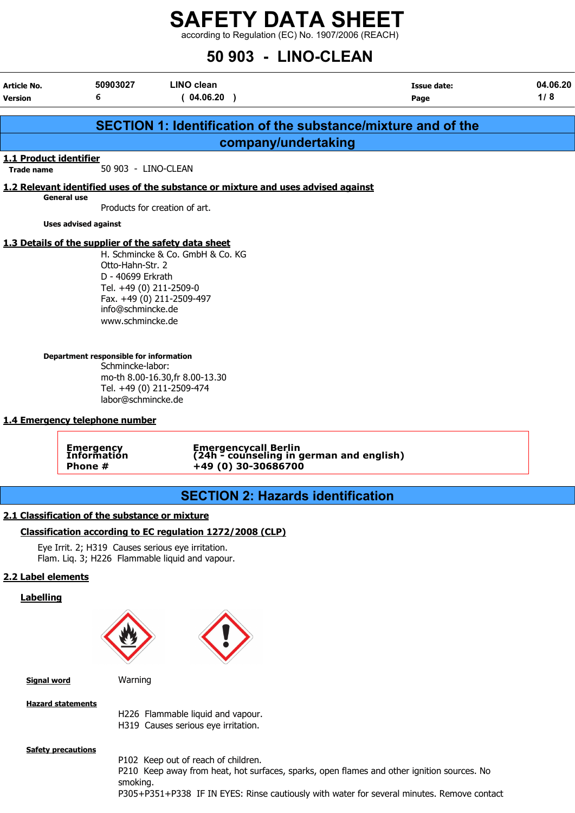according to Regulation (EC) No. 1907/2006 (REACH)

## 50 903 - LINO-CLEAN

| Article No.<br><b>Version</b>               | 50903027<br>6                                                                                                                                                                                                                   | <b>LINO clean</b><br>(04.06.20)                                                                  | <b>Issue date:</b><br>Page                                                                                                                                                               | 04.06.20<br>1/8 |
|---------------------------------------------|---------------------------------------------------------------------------------------------------------------------------------------------------------------------------------------------------------------------------------|--------------------------------------------------------------------------------------------------|------------------------------------------------------------------------------------------------------------------------------------------------------------------------------------------|-----------------|
|                                             |                                                                                                                                                                                                                                 |                                                                                                  |                                                                                                                                                                                          |                 |
|                                             |                                                                                                                                                                                                                                 |                                                                                                  | <b>SECTION 1: Identification of the substance/mixture and of the</b>                                                                                                                     |                 |
|                                             |                                                                                                                                                                                                                                 | company/undertaking                                                                              |                                                                                                                                                                                          |                 |
| 1.1 Product identifier<br><b>Trade name</b> | 50 903 - LINO-CLEAN                                                                                                                                                                                                             |                                                                                                  |                                                                                                                                                                                          |                 |
|                                             | <b>General use</b>                                                                                                                                                                                                              | 1.2 Relevant identified uses of the substance or mixture and uses advised against                |                                                                                                                                                                                          |                 |
|                                             |                                                                                                                                                                                                                                 | Products for creation of art.                                                                    |                                                                                                                                                                                          |                 |
|                                             | <b>Uses advised against</b>                                                                                                                                                                                                     |                                                                                                  |                                                                                                                                                                                          |                 |
|                                             | 1.3 Details of the supplier of the safety data sheet<br>Otto-Hahn-Str. 2<br>D - 40699 Erkrath<br>Tel. +49 (0) 211-2509-0<br>info@schmincke.de<br>www.schmincke.de<br>Department responsible for information<br>Schmincke-labor: | H. Schmincke & Co. GmbH & Co. KG<br>Fax. +49 (0) 211-2509-497<br>mo-th 8.00-16.30, fr 8.00-13.30 |                                                                                                                                                                                          |                 |
|                                             |                                                                                                                                                                                                                                 | Tel. +49 (0) 211-2509-474                                                                        |                                                                                                                                                                                          |                 |
|                                             | labor@schmincke.de                                                                                                                                                                                                              |                                                                                                  |                                                                                                                                                                                          |                 |
|                                             | 1.4 Emergency telephone number                                                                                                                                                                                                  |                                                                                                  |                                                                                                                                                                                          |                 |
|                                             | <b>Emergency</b><br>Information<br>Phone #                                                                                                                                                                                      | +49 (0) 30-30686700                                                                              | Emergencycall Berlin<br>(24h - counseling in german and english)                                                                                                                         |                 |
|                                             |                                                                                                                                                                                                                                 | <b>SECTION 2: Hazards identification</b>                                                         |                                                                                                                                                                                          |                 |
|                                             | 2.1 Classification of the substance or mixture                                                                                                                                                                                  |                                                                                                  |                                                                                                                                                                                          |                 |
|                                             |                                                                                                                                                                                                                                 | Classification according to EC regulation 1272/2008 (CLP)                                        |                                                                                                                                                                                          |                 |
|                                             | Eye Irrit. 2; H319 Causes serious eye irritation.<br>Flam. Liq. 3; H226 Flammable liquid and vapour.                                                                                                                            |                                                                                                  |                                                                                                                                                                                          |                 |
| 2.2 Label elements                          |                                                                                                                                                                                                                                 |                                                                                                  |                                                                                                                                                                                          |                 |
| <b>Labelling</b>                            |                                                                                                                                                                                                                                 |                                                                                                  |                                                                                                                                                                                          |                 |
| <b>Signal word</b>                          | Warning                                                                                                                                                                                                                         |                                                                                                  |                                                                                                                                                                                          |                 |
|                                             | <b>Hazard statements</b>                                                                                                                                                                                                        | H226 Flammable liquid and vapour.<br>H319 Causes serious eye irritation.                         |                                                                                                                                                                                          |                 |
|                                             | <b>Safety precautions</b><br>smoking.                                                                                                                                                                                           | P102 Keep out of reach of children.                                                              | P210 Keep away from heat, hot surfaces, sparks, open flames and other ignition sources. No<br>P305+P351+P338 IF IN EYES: Rinse cautiously with water for several minutes. Remove contact |                 |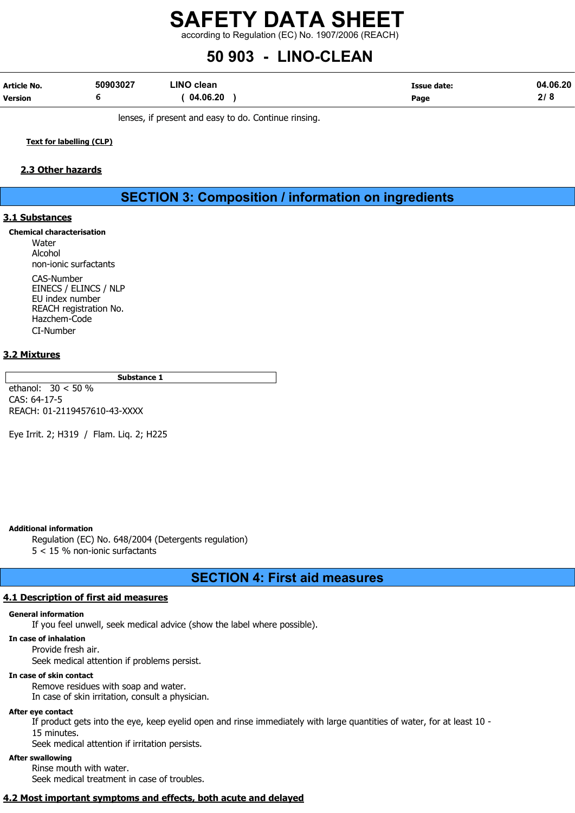according to Regulation (EC) No. 1907/2006 (REACH)

## 50 903 - LINO-CLEAN

| Article No.    | 50903027 | ∟INO clean | Issue date: | 04.06.20  |
|----------------|----------|------------|-------------|-----------|
| <b>Version</b> |          | 04.06.20   | Page        | <b>01</b> |

lenses, if present and easy to do. Continue rinsing.

Text for labelling (CLP)

## 2.3 Other hazards

SECTION 3: Composition / information on ingredients

### 3.1 Substances

Chemical characterisation

Water Alcohol non-ionic surfactants CAS-Number EINECS / ELINCS / NLP EU index number REACH registration No. Hazchem-Code CI-Number

## 3.2 Mixtures

Substance 1

ethanol: 30 < 50 % CAS: 64-17-5 REACH: 01-2119457610-43-XXXX

Eye Irrit. 2; H319 / Flam. Liq. 2; H225

#### Additional information

Regulation (EC) No. 648/2004 (Detergents regulation) 5 < 15 % non-ionic surfactants

## SECTION 4: First aid measures

### 4.1 Description of first aid measures

#### General information

If you feel unwell, seek medical advice (show the label where possible).

#### In case of inhalation

Provide fresh air.

Seek medical attention if problems persist.

#### In case of skin contact

Remove residues with soap and water.

In case of skin irritation, consult a physician.

#### After eye contact

If product gets into the eye, keep eyelid open and rinse immediately with large quantities of water, for at least 10 - 15 minutes.

Seek medical attention if irritation persists.

#### After swallowing

Rinse mouth with water. Seek medical treatment in case of troubles.

## 4.2 Most important symptoms and effects, both acute and delayed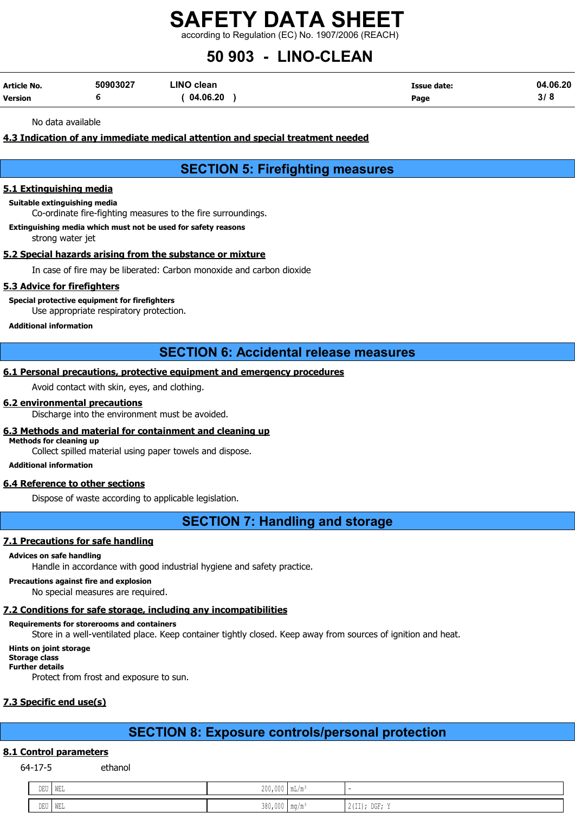according to Regulation (EC) No. 1907/2006 (REACH)

## 50 903 - LINO-CLEAN

| Article No.    | 50903027 | LINO clean | <b>Issue date:</b> | 04.06.20 |
|----------------|----------|------------|--------------------|----------|
| <b>Version</b> |          | 04.06.20   | Page               |          |

No data available

## 4.3 Indication of any immediate medical attention and special treatment needed

## SECTION 5: Firefighting measures

## 5.1 Extinguishing media

#### Suitable extinguishing media

Co-ordinate fire-fighting measures to the fire surroundings.

Extinguishing media which must not be used for safety reasons

strong water jet

### 5.2 Special hazards arising from the substance or mixture

In case of fire may be liberated: Carbon monoxide and carbon dioxide

## 5.3 Advice for firefighters

Special protective equipment for firefighters

Use appropriate respiratory protection.

#### Additional information

## SECTION 6: Accidental release measures

## 6.1 Personal precautions, protective equipment and emergency procedures

Avoid contact with skin, eyes, and clothing.

#### 6.2 environmental precautions

Discharge into the environment must be avoided.

## 6.3 Methods and material for containment and cleaning up

Methods for cleaning up

Collect spilled material using paper towels and dispose.

#### Additional information

## 6.4 Reference to other sections

Dispose of waste according to applicable legislation.

## SECTION 7: Handling and storage

## 7.1 Precautions for safe handling

#### Advices on safe handling

Handle in accordance with good industrial hygiene and safety practice.

## Precautions against fire and explosion

No special measures are required.

## 7.2 Conditions for safe storage, including any incompatibilities

## Requirements for storerooms and containers

Store in a well-ventilated place. Keep container tightly closed. Keep away from sources of ignition and heat.

## Hints on joint storage

Storage class Further details

Protect from frost and exposure to sun.

## 7.3 Specific end use(s)

## SECTION 8: Exposure controls/personal protection

## 8.1 Control parameters

64-17-5 ethanol

| DEU WEL |     | .<br>$\wedge$ $\wedge$<br><b>LUU, UUU</b> | <b>The State</b> |                                                                   |
|---------|-----|-------------------------------------------|------------------|-------------------------------------------------------------------|
| DEU     | WEL | 200<br>.<br>JOV, VVV   IIIY/III           | $\mathbf{m}$     | $\sqrt{1-x}$<br>DOD.<br>$\cdot$ .<br>2(11);<br><b>DULI</b><br>. . |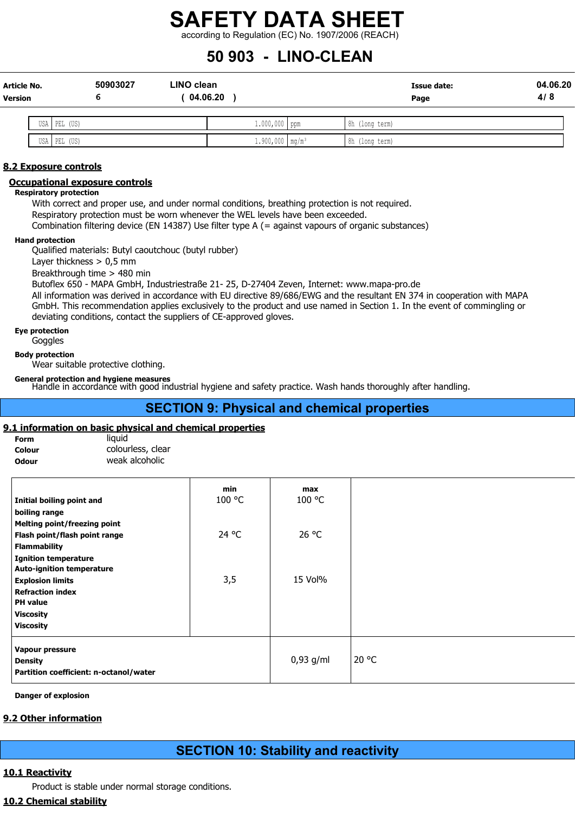according to Regulation (EC) No. 1907/2006 (REACH)

## 50 903 - LINO-CLEAN

| Article No.<br><b>Version</b> |  | 50903027     | LINO clean<br>04.06.20 |                 | <b>Issue date:</b><br>Page | 04.06.20<br>4/8 |
|-------------------------------|--|--------------|------------------------|-----------------|----------------------------|-----------------|
|                               |  | USA PEL (US) |                        | $1.000,000$ ppm | 8h<br>(long term)          |                 |

| UOA I LET | .<br>. vu                        | $\pm$ . $\vee \vee \vee \vee \vee \vee$                              | <b>I</b> PAI<br>. .     | I OII TTOIIN<br>.<br>ااالمليانا |
|-----------|----------------------------------|----------------------------------------------------------------------|-------------------------|---------------------------------|
|           |                                  |                                                                      |                         |                                 |
| USA       | -- -<br>$- -$<br>--<br>.<br>. vu | $\sim$ $\sim$ $\sim$<br>$\perp$ . $\cup$ $\cup$ $\vee$ $\vee$ $\vee$ | <b>MA CH</b><br>1114711 | 8h (long<br>† ≙ rr<br>الملقانات |
|           |                                  |                                                                      |                         |                                 |

## 8.2 Exposure controls

## Occupational exposure controls

#### Respiratory protection

With correct and proper use, and under normal conditions, breathing protection is not required. Respiratory protection must be worn whenever the WEL levels have been exceeded. Combination filtering device (EN 14387) Use filter type A (= against vapours of organic substances)

#### Hand protection

Qualified materials: Butyl caoutchouc (butyl rubber)

Layer thickness  $> 0.5$  mm

Breakthrough time > 480 min

Butoflex 650 - MAPA GmbH, Industriestraße 21- 25, D-27404 Zeven, Internet: www.mapa-pro.de

All information was derived in accordance with EU directive 89/686/EWG and the resultant EN 374 in cooperation with MAPA GmbH. This recommendation applies exclusively to the product and use named in Section 1. In the event of commingling or deviating conditions, contact the suppliers of CE-approved gloves.

## Eye protection

Goggles

Body protection

Wear suitable protective clothing.

General protection and hygiene measures Handle in accordance with good industrial hygiene and safety practice. Wash hands thoroughly after handling.

## SECTION 9: Physical and chemical properties

## 9.1 information on basic physical and chemical properties

| <b>Form</b>  | liauid            |
|--------------|-------------------|
| Colour       | colourless, clear |
| <b>Odour</b> | weak alcoholic    |

| Initial boiling point and              | min<br>100 °C | max<br>100 °C |       |
|----------------------------------------|---------------|---------------|-------|
|                                        |               |               |       |
| boiling range                          |               |               |       |
| <b>Melting point/freezing point</b>    |               |               |       |
| Flash point/flash point range          | 24 °C         | 26 °C         |       |
| <b>Flammability</b>                    |               |               |       |
| <b>Ignition temperature</b>            |               |               |       |
| <b>Auto-ignition temperature</b>       |               |               |       |
| <b>Explosion limits</b>                | 3,5           | 15 Vol%       |       |
| <b>Refraction index</b>                |               |               |       |
| <b>PH</b> value                        |               |               |       |
| <b>Viscosity</b>                       |               |               |       |
| <b>Viscosity</b>                       |               |               |       |
| Vapour pressure                        |               |               |       |
| <b>Density</b>                         |               | $0,93$ g/ml   | 20 °C |
| Partition coefficient: n-octanol/water |               |               |       |

Danger of explosion

## 9.2 Other information

## SECTION 10: Stability and reactivity

## 10.1 Reactivity

Product is stable under normal storage conditions.

## 10.2 Chemical stability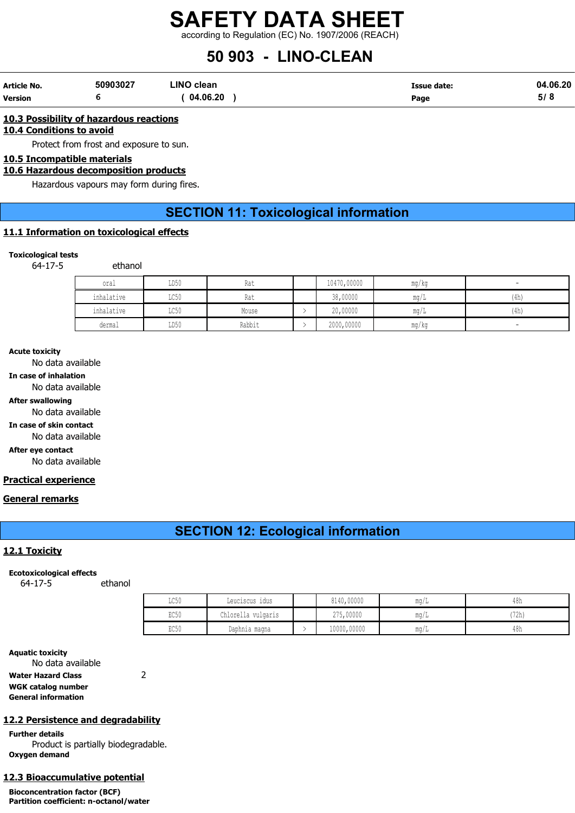according to Regulation (EC) No. 1907/2006 (REACH)

## 50 903 - LINO-CLEAN

| <b>Article No.</b> | 50903027 | ∟INO clean | <b>Issue date:</b> | 04.06.20 |
|--------------------|----------|------------|--------------------|----------|
| <b>Version</b>     |          | 04.06.20   | Page               |          |

### 10.3 Possibility of hazardous reactions

10.4 Conditions to avoid

Protect from frost and exposure to sun.

## 10.5 Incompatible materials

### 10.6 Hazardous decomposition products

Hazardous vapours may form during fires.

## SECTION 11: Toxicological information

## 11.1 Information on toxicological effects

### Toxicological tests

64-17-5 ethanol

| oral       | LD50 | Rat    | 10470,00000 | mg/kg        |      |
|------------|------|--------|-------------|--------------|------|
| inhalative | LC50 | Rat    | 38,00000    | ma/L         | (4h) |
| inhalative | LC50 | Mouse  | 20,00000    | $\text{max}$ | (4h) |
| dermal     | LD50 | Rabbit | 2000,00000  | mq/kg        |      |

#### Acute toxicity

No data available

In case of inhalation

No data available

After swallowing

No data available

In case of skin contact

No data available

After eye contact

No data available

## Practical experience

## General remarks

## SECTION 12: Ecological information

### 12.1 Toxicity

#### Ecotoxicological effects

64-17-5 ethanol

| LC50 | Leuciscus idus                 | 8140,00000  | mq/<br>÷        | 48h  |
|------|--------------------------------|-------------|-----------------|------|
| EC50 | Chlorella vulgaris<br>VULUULLU | 275,00000   | ma/L            | '72h |
| EC50 | Daphnia magna                  | 10000,00000 | mq/<br><b>+</b> | 48h  |

#### Aquatic toxicity

No data available Water Hazard Class 2 WGK catalog number General information

#### 12.2 Persistence and degradability

Further details Product is partially biodegradable. Oxygen demand

## 12.3 Bioaccumulative potential

Bioconcentration factor (BCF) Partition coefficient: n-octanol/water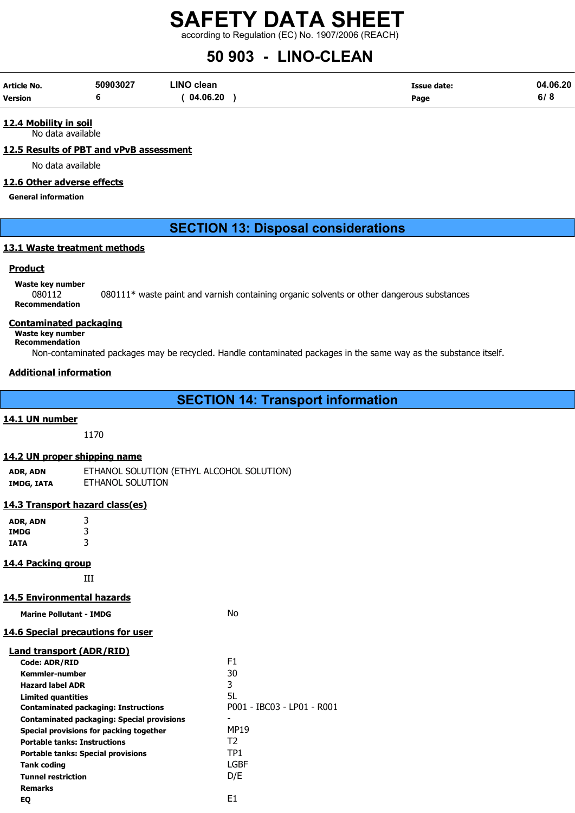according to Regulation (EC) No. 1907/2006 (REACH)

## 50 903 - LINO-CLEAN

| Article No.    | 50903027 | LINO clean | <b>Issue date:</b> | 04.06.20 |
|----------------|----------|------------|--------------------|----------|
| <b>Version</b> |          | 04.06.20   | Page               | 6/8      |

## 12.4 Mobility in soil

No data available

## 12.5 Results of PBT and vPvB assessment

No data available

## 12.6 Other adverse effects

General information

## SECTION 13: Disposal considerations

## 13.1 Waste treatment methods

## **Product**

## Waste key number

080112 080111\* waste paint and varnish containing organic solvents or other dangerous substances Recommendation

## Contaminated packaging

Waste key number Recommendation

Non-contaminated packages may be recycled. Handle contaminated packages in the same way as the substance itself.

## Additional information

## SECTION 14: Transport information

## 14.1 UN number

1170

## 14.2 UN proper shipping name

ADR, ADN ETHANOL SOLUTION (ETHYL ALCOHOL SOLUTION) IMDG, IATA ETHANOL SOLUTION

## 14.3 Transport hazard class(es)

| ADR, ADN    | 3 |
|-------------|---|
| <b>IMDG</b> | 3 |
| IATA        | 3 |

## 14.4 Packing group

III

## 14.5 Environmental hazards

| <b>Marine Pollutant - IMDG</b>                    | Nο                         |
|---------------------------------------------------|----------------------------|
| <b>14.6 Special precautions for user</b>          |                            |
| Land transport (ADR/RID)                          |                            |
| Code: ADR/RID                                     | F <sub>1</sub>             |
| <b>Kemmler-number</b>                             | 30                         |
| <b>Hazard label ADR</b>                           | 3                          |
| Limited quantities                                | 5L                         |
| <b>Contaminated packaging: Instructions</b>       | P001 - IBC03 - LP01 - R001 |
| <b>Contaminated packaging: Special provisions</b> |                            |
| Special provisions for packing together           | MP19                       |
| <b>Portable tanks: Instructions</b>               | T2                         |
| <b>Portable tanks: Special provisions</b>         | TP1                        |
| <b>Tank coding</b>                                | LGBF                       |
| <b>Tunnel restriction</b>                         | D/E                        |
| <b>Remarks</b>                                    |                            |
| EQ                                                | E1                         |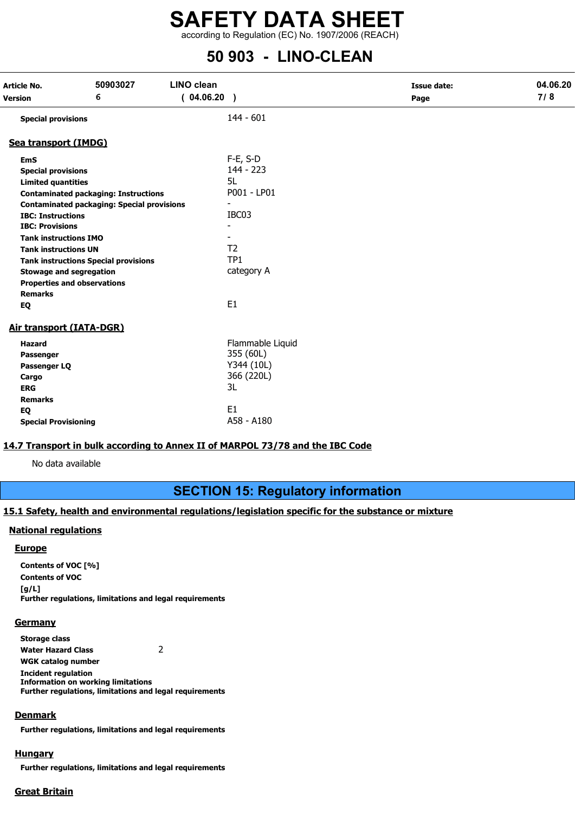according to Regulation (EC) No. 1907/2006 (REACH)

## 50 903 - LINO-CLEAN

| Article No.<br>Version                                                                                                                                                                                                                                                                    | 50903027<br>6                                                                                                                                   | LINO clean<br>(04.06.20) |                                                                                                                                         | <b>Issue date:</b><br>Page | 04.06.20<br>7/8 |
|-------------------------------------------------------------------------------------------------------------------------------------------------------------------------------------------------------------------------------------------------------------------------------------------|-------------------------------------------------------------------------------------------------------------------------------------------------|--------------------------|-----------------------------------------------------------------------------------------------------------------------------------------|----------------------------|-----------------|
| <b>Special provisions</b>                                                                                                                                                                                                                                                                 |                                                                                                                                                 |                          | $144 - 601$                                                                                                                             |                            |                 |
| Sea transport (IMDG)                                                                                                                                                                                                                                                                      |                                                                                                                                                 |                          |                                                                                                                                         |                            |                 |
| <b>EmS</b><br><b>Special provisions</b><br><b>Limited quantities</b><br><b>IBC: Instructions</b><br><b>IBC: Provisions</b><br><b>Tank instructions IMO</b><br><b>Tank instructions UN</b><br><b>Stowage and segregation</b><br><b>Properties and observations</b><br><b>Remarks</b><br>EQ | <b>Contaminated packaging: Instructions</b><br><b>Contaminated packaging: Special provisions</b><br><b>Tank instructions Special provisions</b> |                          | $F-E$ , S-D<br>$144 - 223$<br>5L<br>P001 - LP01<br>IBC03<br>$\sim$<br>T <sub>2</sub><br>TP <sub>1</sub><br>category A<br>E <sub>1</sub> |                            |                 |
| Air transport (IATA-DGR)<br><b>Hazard</b><br>Passenger<br>Passenger LQ<br>Cargo<br><b>ERG</b><br><b>Remarks</b><br>EQ<br><b>Special Provisioning</b>                                                                                                                                      |                                                                                                                                                 |                          | Flammable Liquid<br>355 (60L)<br>Y344 (10L)<br>366 (220L)<br>3L<br>E1<br>A58 - A180                                                     |                            |                 |

## 14.7 Transport in bulk according to Annex II of MARPOL 73/78 and the IBC Code

No data available

## SECTION 15: Regulatory information

## 15.1 Safety, health and environmental regulations/legislation specific for the substance or mixture

## National regulations

#### **Europe**

Contents of VOC [%] Contents of VOC  $[q/L]$ Further regulations, limitations and legal requirements

#### **Germany**

Storage class Water Hazard Class 2 WGK catalog number Incident regulation Information on working limitations Further regulations, limitations and legal requirements

## Denmark

Further regulations, limitations and legal requirements

## **Hungary**

Further regulations, limitations and legal requirements

## Great Britain